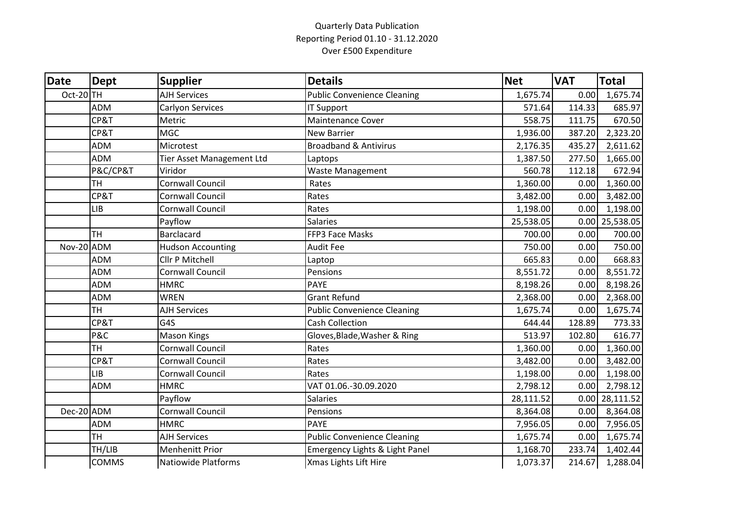## Quarterly Data Publication Reporting Period 01.10 - 31.12.2020 Over £500 Expenditure

| <b>Date</b> | <b>Dept</b>  | <b>Supplier</b>            | <b>Details</b>                            | <b>Net</b> | <b>VAT</b> | <b>Total</b>     |
|-------------|--------------|----------------------------|-------------------------------------------|------------|------------|------------------|
| Oct-20TH    |              | <b>AJH Services</b>        | <b>Public Convenience Cleaning</b>        | 1,675.74   | 0.00       | 1,675.74         |
|             | <b>ADM</b>   | Carlyon Services           | <b>IT Support</b>                         | 571.64     | 114.33     | 685.97           |
|             | CP&T         | Metric                     | <b>Maintenance Cover</b>                  | 558.75     | 111.75     | 670.50           |
|             | CP&T         | <b>MGC</b>                 | <b>New Barrier</b>                        | 1,936.00   | 387.20     | 2,323.20         |
|             | <b>ADM</b>   | Microtest                  | <b>Broadband &amp; Antivirus</b>          | 2,176.35   | 435.27     | 2,611.62         |
|             | <b>ADM</b>   | Tier Asset Management Ltd  | Laptops                                   | 1,387.50   | 277.50     | 1,665.00         |
|             | P&C/CP&T     | Viridor                    | Waste Management                          | 560.78     | 112.18     | 672.94           |
|             | <b>TH</b>    | Cornwall Council           | Rates                                     | 1,360.00   | 0.00       | 1,360.00         |
|             | CP&T         | <b>Cornwall Council</b>    | Rates                                     | 3,482.00   | 0.00       | 3,482.00         |
|             | <b>LIB</b>   | <b>Cornwall Council</b>    | Rates                                     | 1,198.00   | 0.00       | 1,198.00         |
|             |              | Payflow                    | <b>Salaries</b>                           | 25,538.05  |            | $0.00$ 25,538.05 |
|             | <b>TH</b>    | <b>Barclacard</b>          | FFP3 Face Masks                           | 700.00     | 0.00       | 700.00           |
| Nov-20 ADM  |              | <b>Hudson Accounting</b>   | <b>Audit Fee</b>                          | 750.00     | 0.00       | 750.00           |
|             | <b>ADM</b>   | Cllr P Mitchell            | Laptop                                    | 665.83     | 0.00       | 668.83           |
|             | <b>ADM</b>   | Cornwall Council           | Pensions                                  | 8,551.72   | 0.00       | 8,551.72         |
|             | <b>ADM</b>   | <b>HMRC</b>                | <b>PAYE</b>                               | 8,198.26   | 0.00       | 8,198.26         |
|             | <b>ADM</b>   | <b>WREN</b>                | <b>Grant Refund</b>                       | 2,368.00   | 0.00       | 2,368.00         |
|             | <b>TH</b>    | <b>AJH Services</b>        | <b>Public Convenience Cleaning</b>        | 1,675.74   | 0.00       | 1,675.74         |
|             | CP&T         | G4S                        | <b>Cash Collection</b>                    | 644.44     | 128.89     | 773.33           |
|             | P&C          | <b>Mason Kings</b>         | Gloves, Blade, Washer & Ring              | 513.97     | 102.80     | 616.77           |
|             | <b>TH</b>    | <b>Cornwall Council</b>    | Rates                                     | 1,360.00   | 0.00       | 1,360.00         |
|             | CP&T         | Cornwall Council           | Rates                                     | 3,482.00   | 0.00       | 3,482.00         |
|             | LIB          | Cornwall Council           | Rates                                     | 1,198.00   | 0.00       | 1,198.00         |
|             | <b>ADM</b>   | <b>HMRC</b>                | VAT 01.06.-30.09.2020                     | 2,798.12   | 0.00       | 2,798.12         |
|             |              | Payflow                    | <b>Salaries</b>                           | 28,111.52  |            | $0.00$ 28,111.52 |
| Dec-20 ADM  |              | <b>Cornwall Council</b>    | Pensions                                  | 8,364.08   | 0.00       | 8,364.08         |
|             | <b>ADM</b>   | <b>HMRC</b>                | <b>PAYE</b>                               | 7,956.05   | 0.00       | 7,956.05         |
|             | <b>TH</b>    | <b>AJH Services</b>        | <b>Public Convenience Cleaning</b>        | 1,675.74   | 0.00       | 1,675.74         |
|             | TH/LIB       | <b>Menhenitt Prior</b>     | <b>Emergency Lights &amp; Light Panel</b> | 1,168.70   | 233.74     | 1,402.44         |
|             | <b>COMMS</b> | <b>Natiowide Platforms</b> | Xmas Lights Lift Hire                     | 1,073.37   | 214.67     | 1,288.04         |